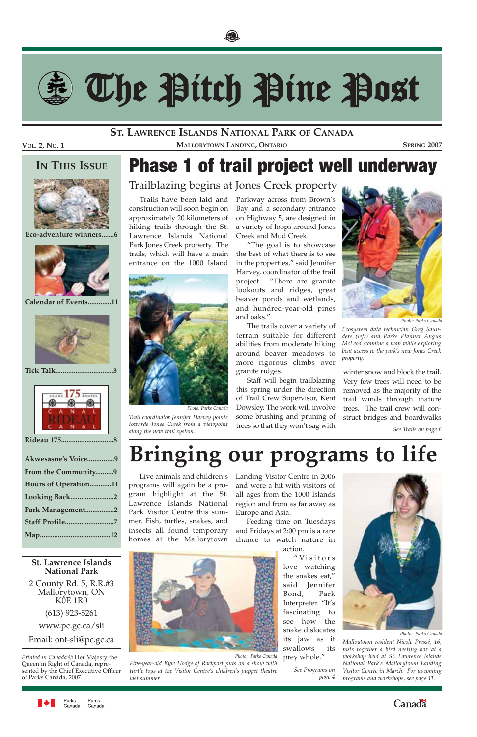



# The Pitch Pine Post

winter snow and block the trail. Very few trees will need to be removed as the majority of the trail winds through mature trees. The trail crew will construct bridges and boardwalks

Landing Visitor Centre in 2006 and were a hit with visitors of all ages from the 1000 Islands region and from as far away as Europe and Asia.

Feeding time on Tuesdays and Fridays at 2:00 pm is a rare chance to watch nature in

action.



"Visitors love watching the snakes eat," said Jennifer Bond, Park Interpreter. "It's fascinating to see how the snake dislocates its jaw as it swallows its prey whole."

### **ST. LAWRENCE ISLANDS NATIONAL PARK OF CANADA**

**VOL. 2, NO. 1 MALLORYTOWN LANDING, ONTARIO SPRING 2007**

### **IN THIS ISSUE**



**Eco-adventure winners.......6**



**Calendar of Events.............11** 



**Tick Talk................................3**



**Rideau 175.............................8** 

| Akwesasne's Voice9   |  |
|----------------------|--|
| From the Community9  |  |
| Hours of Operation11 |  |
| Looking Back2        |  |
| Park Management2     |  |
| Staff Profile7       |  |
|                      |  |

**St. Lawrence Islands National Park**

2 County Rd. 5, R.R.#3 Mallorytown, ON K0E 1R0 (613) 923-5261 www.pc.gc.ca/sli

Email: ont-sli@pc.gc.ca

*Printed in Canada ©* Her Majesty the Queen in Right of Canada, represented by the Chief Executive Officer of Parks Canada, 2007.



## Phase 1 of trail project well underway

Trailblazing begins at Jones Creek property

Trails have been laid and construction will soon begin on approximately 20 kilometers of hiking trails through the St. Lawrence Islands National Park Jones Creek property. The trails, which will have a main entrance on the 1000 Island

Parkway across from Brown's Bay and a secondary entrance on Highway 5, are designed in a variety of loops around Jones Creek and Mud Creek.

"The goal is to showcase the best of what there is to see in the properties," said Jennifer Harvey, coordinator of the trail project. "There are granite lookouts and ridges, great beaver ponds and wetlands, and hundred-year-old pines and oaks."

The trails cover a variety of terrain suitable for different abilities from moderate hiking around beaver meadows to more rigorous climbs over granite ridges.

Staff will begin trailblazing this spring under the direction of Trail Crew Supervisor, Kent Dowsley. The work will involve some brushing and pruning of trees so that they won't sag with *along the new trail system. See Trails on page 6*

*towards Jones Creek from a viewpoint*



*Trail coordinator Jennifer Harvey points Photo: Parks Canada*

*Photo: Parks Canada*

*Five-year-old Kyle Hodge of Rockport puts on a show with turtle toys at the Visitor Centre's children's puppet theatre last summer.*

## **Bringing our programs to life**

Live animals and children's programs will again be a program highlight at the St. Lawrence Islands National Park Visitor Centre this summer. Fish, turtles, snakes, and insects all found temporary homes at the Mallorytown



*Ecosystem data technician Greg Saunders (left) and Parks Planner Angus McLeod examine a map while exploring boat access to the park's new Jones Creek property.*

*Malloytown resident Nicole Pressé, 16, puts together a bird nesting box at a workshop held at St. Lawrence Islands National Park's Mallorytown Landing Visitor Centre in March. For upcoming programs and workshops, see page 11.*



Parcs Canada Canada



*See Programs on page 4*

*Photo: Parks Canada*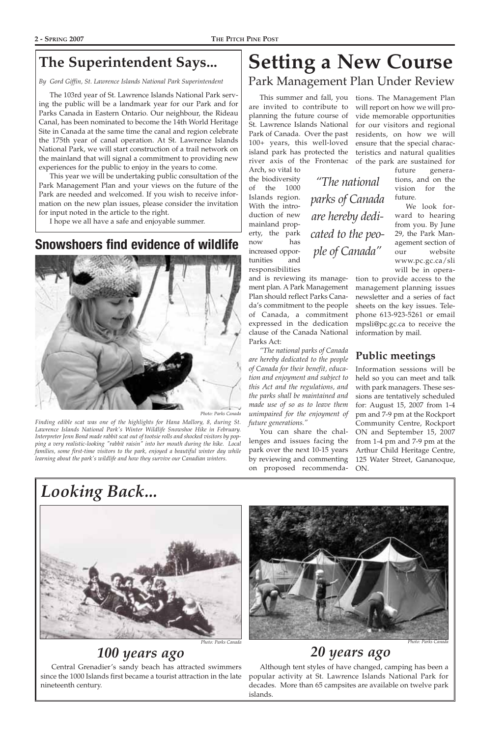### **The Superintendent Says...**

*By Gord Giffin, St. Lawrence Islands National Park Superintendent*

The 103rd year of St. Lawrence Islands National Park serving the public will be a landmark year for our Park and for Parks Canada in Eastern Ontario. Our neighbour, the Rideau Canal, has been nominated to become the 14th World Heritage Site in Canada at the same time the canal and region celebrate the 175th year of canal operation. At St. Lawrence Islands National Park, we will start construction of a trail network on the mainland that will signal a commitment to providing new experiences for the public to enjoy in the years to come.

This year we will be undertaking public consultation of the Park Management Plan and your views on the future of the Park are needed and welcomed. If you wish to receive information on the new plan issues, please consider the invitation for input noted in the article to the right.

I hope we all have a safe and enjoyable summer.

## *100 years ago 20 years ago*

Central Grenadier's sandy beach has attracted swimmers since the 1000 Islands first became a tourist attraction in the late nineteenth century.

Although tent styles of have changed, camping has been a popular activity at St. Lawrence Islands National Park for decades. More than 65 campsites are available on twelve park islands.

#### *Photo: Parks Canada Photo: Parks Canada*

*Looking Back...*



*Finding edible scat was one of the highlights for Hana Mallory, 8, during St. Lawrence Islands National Park's Winter Wildlife Snowshoe Hike in February. Interpreter Jenn Bond made rabbit scat out of tootsie rolls and shocked visitors by popping a very realistic-looking "rabbit raisin" into her mouth during the hike. Local families, some first-time visitors to the park, enjoyed a beautiful winter day while learning about the park's wildlife and how they survive our Canadian winters.*

*Photo: Parks Canada*

### **Snowshoers find evidence of wildlife**



## **Setting a New Course** Park Management Plan Under Review

are invited to contribute to planning the future course of St. Lawrence Islands National Park of Canada. Over the past 100+ years, this well-loved island park has protected the river axis of the Frontenac

Arch, so vital to the biodiversity of the 1000 Islands region. With the introduction of new mainland property, the park now has increased opportunities and responsibilities

and is reviewing its management plan. A Park Management Plan should reflect Parks Canada's commitment to the people of Canada, a commitment expressed in the dedication clause of the Canada National Parks Act:

This summer and fall, you tions. The Management Plan will report on how we will provide memorable opportunities for our visitors and regional residents, on how we will ensure that the special characteristics and natural qualities of the park are sustained for

*"The national parks of Canada are hereby dedicated to the people of Canada for their benefit, education and enjoyment and subject to this Act and the regulations, and the parks shall be maintained and made use of so as to leave them unimpaired for the enjoyment of future generations."* 

You can share the challenges and issues facing the park over the next 10-15 years by reviewing and commenting on proposed recommendafuture generations, and on the vision for the future.

We look forward to hearing from you. By June 29, the Park Management section of our website www.pc.gc.ca/sli will be in opera-

tion to provide access to the management planning issues newsletter and a series of fact sheets on the key issues. Telephone 613-923-5261 or email mpsli@pc.gc.ca to receive the information by mail.

### **Public meetings**

Information sessions will be held so you can meet and talk with park managers. These sessions are tentatively scheduled for: August 15, 2007 from 1-4 pm and 7-9 pm at the Rockport Community Centre, Rockport ON and September 15, 2007 from 1-4 pm and 7-9 pm at the Arthur Child Heritage Centre, 125 Water Street, Gananoque, ON.



*"The national parks of Canada are hereby dedicated to the people of Canada"*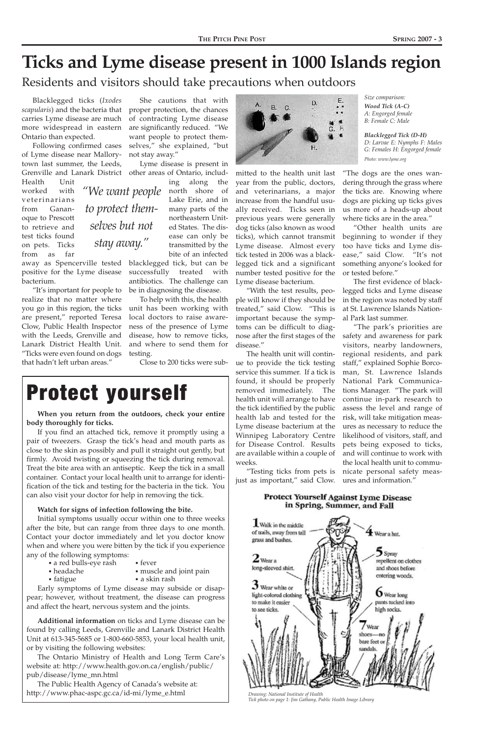*Drawing: National Institute of Health Tick photo on page 1: Jim Gathany, Public Health Image Library*

*Size comparison: Wood Tick (A-C) A: Engorged female B: Female C: Male* 

*Blacklegged Tick (D-H) D: Larvae E: Nymphs F: Males G: Females H: Engorged female Photo: www.lyme.org*

## **Ticks and Lyme disease present in 1000 Islands region**

Residents and visitors should take precautions when outdoors

Blacklegged ticks (*Ixodes scapularis*) and the bacteria that proper protection, the chances carries Lyme disease are much more widespread in eastern Ontario than expected.

Following confirmed cases of Lyme disease near Mallorytown last summer, the Leeds,

Grenville and Lanark District) other areas of Ontario, includ-Lyme disease is present in

Health Unit worked with veterinarians from Gananoque to Prescott to retrieve and test ticks found on pets. Ticks from as far

away as Spencerville tested blacklegged tick, but can be positive for the Lyme disease bacterium.

"It's important for people to realize that no matter where you go in this region, the ticks are present," reported Teresa Clow, Public Health Inspector with the Leeds, Grenville and Lanark District Health Unit. "Ticks were even found on dogs that hadn't left urban areas."

She cautions that with of contracting Lyme disease are significantly reduced. "We want people to protect themselves," she explained, "but not stay away."

> ing along the Lake Erie, and in many parts of the northeastern United States. The disease can only be transmitted by the bite of an infected

successfully treated with antibiotics. The challenge can be in diagnosing the disease.

To help with this, the health unit has been working with local doctors to raise awareness of the presence of Lyme disease, how to remove ticks, and where to send them for testing.

Close to 200 ticks were sub-

mitted to the health unit last year from the public, doctors, and veterinarians, a major increase from the handful usually received. Ticks seen in previous years were generally dog ticks (also known as wood ticks), which cannot transmit Lyme disease. Almost every tick tested in 2006 was a blacklegged tick and a significant number tested positive for the Lyme disease bacterium.

"With the test results, people will know if they should be treated," said Clow. "This is important because the symptoms can be difficult to diagnose after the first stages of the disease."

The health unit will continue to provide the tick testing service this summer. If a tick is found, it should be properly removed immediately. The health unit will arrange to have the tick identified by the public health lab and tested for the Lyme disease bacterium at the Winnipeg Laboratory Centre for Disease Control. Results are available within a couple of weeks.

"We want people north shore of *to protect themselves but not stay away."*

> "Testing ticks from pets is just as important," said Clow.

"The dogs are the ones wandering through the grass where the ticks are. Knowing where dogs are picking up ticks gives us more of a heads-up about where ticks are in the area."

"Other health units are beginning to wonder if they too have ticks and Lyme disease," said Clow. "It's not something anyone's looked for or tested before."

The first evidence of blacklegged ticks and Lyme disease in the region was noted by staff at St. Lawrence Islands National Park last summer.

"The park's priorities are safety and awareness for park visitors, nearby landowners, regional residents, and park staff," explained Sophie Borcoman, St. Lawrence Islands National Park Communications Manager. "The park will continue in-park research to assess the level and range of risk, will take mitigation measures as necessary to reduce the likelihood of visitors, staff, and pets being exposed to ticks, and will continue to work with the local health unit to communicate personal safety measures and information."

### **Protect Yourself Against Lyme Disease** in Spring, Summer, and Fall



**When you return from the outdoors, check your entire body thoroughly for ticks.**

If you find an attached tick, remove it promptly using a pair of tweezers. Grasp the tick's head and mouth parts as close to the skin as possibly and pull it straight out gently, but firmly. Avoid twisting or squeezing the tick during removal. Treat the bite area with an antiseptic. Keep the tick in a small container. Contact your local health unit to arrange for identification of the tick and testing for the bacteria in the tick. You can also visit your doctor for help in removing the tick.

### **Watch for signs of infection following the bite.**

Initial symptoms usually occur within one to three weeks after the bite, but can range from three days to one month. Contact your doctor immediately and let you doctor know



when and where you were bitten by the tick if you experience any of the following symptoms:

- a red bulls-eye rash fever<br>• headache musc
- 
- 
- muscle and joint pain
- fatigue a skin rash

Early symptoms of Lyme disease may subside or disappear; however, without treatment, the disease can progress and affect the heart, nervous system and the joints.

**Additional information** on ticks and Lyme disease can be found by calling Leeds, Grenville and Lanark District Health Unit at 613-345-5685 or 1-800-660-5853, your local health unit, or by visiting the following websites:

The Ontario Ministry of Health and Long Term Care's website at: http://www.health.gov.on.ca/english/public/ pub/disease/lyme\_mn.html

The Public Health Agency of Canada's website at: http://www.phac-aspc.gc.ca/id-mi/lyme\_e.html

## Protect yourself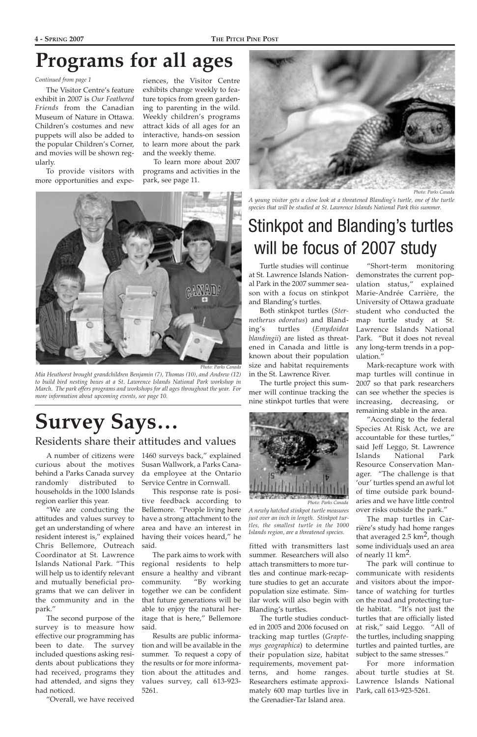Turtle studies will continue at St. Lawrence Islands National Park in the 2007 summer season with a focus on stinkpot and Blanding's turtles.

Both stinkpot turtles (*Sternotherus odoratus*) and Blanding's turtles (*Emydoidea blandingii*) are listed as threatened in Canada and little is known about their population size and habitat requirements in the St. Lawrence River.

The turtle project this summer will continue tracking the nine stinkpot turtles that were

"Short-term monitoring demonstrates the current population status," explained Marie-Andrée Carrière, the University of Ottawa graduate student who conducted the map turtle study at St. Lawrence Islands National Park. "But it does not reveal any long-term trends in a population."

Mark-recapture work with map turtles will continue in 2007 so that park researchers can see whether the species is increasing, decreasing, or remaining stable in the area.

"According to the federal Species At Risk Act, we are accountable for these turtles," said Jeff Leggo, St. Lawrence Islands National Park Resource Conservation Manager. "The challenge is that 'our' turtles spend an awful lot of time outside park boundaries and we have little control over risks outside the park."

The map turtles in Carrière's study had home ranges that averaged 2.5  $\text{km}^2$ , though some individuals used an area of nearly 11  $\text{km}^2$ . The park will continue to communicate with residents and visitors about the importance of watching for turtles on the road and protecting turtle habitat. "It's not just the turtles that are officially listed at risk," said Leggo. "All of the turtles, including snapping turtles and painted turtles, are subject to the same stresses." For more information about turtle studies at St. Lawrence Islands National Park, call 613-923-5261.

*A young visitor gets a close look at a threatened Blanding's turtle, one of the turtle* species that will be studied at St. Lawrence Islands National Park this summer.

## **Survey Says…**

Residents share their attitudes and values

curious about the motives behind a Parks Canada survey randomly distributed to households in the 1000 Islands region earlier this year.

attitudes and values survey to get an understanding of where resident interest is," explained

Coordinator at St. Lawrence Islands National Park. "This will help us to identify relevant and mutually beneficial programs that we can deliver in the community and in the park."

A number of citizens were 1460 surveys back," explained Susan Wallwork, a Parks Canada employee at the Ontario Service Centre in Cornwall.

"We are conducting the Bellemore. "People living here This response rate is positive feedback according to have a strong attachment to the area and have an interest in having their voices heard," he

The second purpose of the survey is to measure how effective our programming has been to date. The survey included questions asking residents about publications they had received, programs they had attended, and signs they had noticed.

Chris Bellemore, Outreach said.

"Overall, we have received

The park aims to work with regional residents to help ensure a healthy and vibrant community. "By working together we can be confident that future generations will be able to enjoy the natural heritage that is here," Bellemore said.

Results are public information and will be available in the summer. To request a copy of the results or for more information about the attitudes and values survey, call 613-923- 5261.

## Stinkpot and Blanding's turtles will be focus of 2007 study



*Photo: Parks Canada* 

*A newly hatched stinkpot turtle measures just over an inch in length. Stinkpot turtles, the smallest turtle in the 1000 Islands region, are a threatened species.*

fitted with transmitters last summer. Researchers will also attach transmitters to more turtles and continue mark-recapture studies to get an accurate population size estimate. Similar work will also begin with Blanding's turtles.

The turtle studies conducted in 2005 and 2006 focused on tracking map turtles (*Graptemys geographica*) to determine their population size, habitat requirements, movement patterns, and home ranges. Researchers estimate approximately 600 map turtles live in the Grenadier-Tar Island area.



The Visitor Centre's feature exhibit in 2007 is *Our Feathered Friends* from the Canadian Museum of Nature in Ottawa. Children's costumes and new puppets will also be added to the popular Children's Corner, and movies will be shown regularly.

To provide visitors with more opportunities and experiences, the Visitor Centre exhibits change weekly to feature topics from green gardening to parenting in the wild. Weekly children's programs attract kids of all ages for an interactive, hands-on session to learn more about the park and the weekly theme.

To learn more about 2007 programs and activities in the park, see page 11.

## **Programs for all ages**

*Continued from page 1*



*Mia Heuthorst brought grandchildren Benjamin (7), Thomas (10), and Andrew (12) to build bird nesting boxes at a St. Lawrence Islands National Park workshop in March. The park offers programs and workshops for all ages throughout the year. For more information about upcoming events, see page 10.*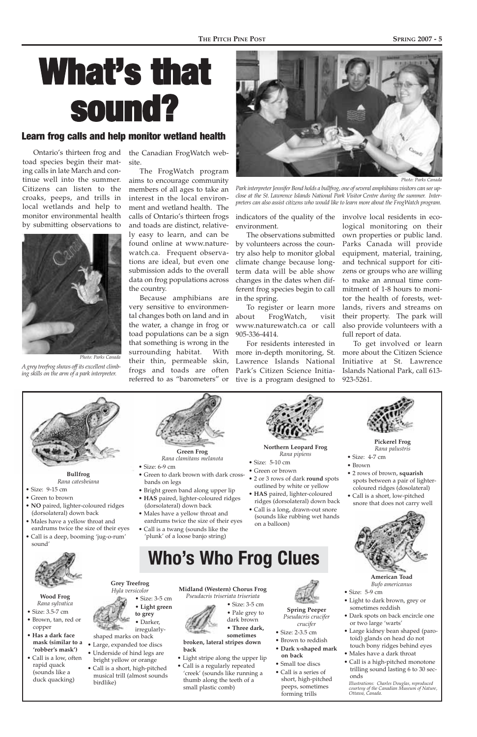**American Toad** *Bufo americanus*

- Size: 5-9 cm
- Light to dark brown, grey or sometimes reddish
- Dark spots on back encircle one or two large 'warts'
- Large kidney bean shaped (parotoid) glands on head do not touch bony ridges behind eyes
- Males have a dark throat
- Call is a high-pitched monotone trilling sound lasting 6 to 30 seconds

*Illustrations: Charles Douglas, reproduced courtesy of the Canadian Museum of Nature, Ottawa, Canada.*

# What's that sound?

Ontario's thirteen frog and toad species begin their mating calls in late March and continue well into the summer. Citizens can listen to the croaks, peeps, and trills in local wetlands and help to monitor environmental health by submitting observations to

the Canadian FrogWatch website.

The FrogWatch program aims to encourage community members of all ages to take an interest in the local environment and wetland health. The calls of Ontario's thirteen frogs and toads are distinct, relatively easy to learn, and can be found online at www.naturewatch.ca. Frequent observations are ideal, but even one submission adds to the overall data on frog populations across the country.

Because amphibians are very sensitive to environmental changes both on land and in the water, a change in frog or toad populations can be a sign that something is wrong in the surrounding habitat. With their thin, permeable skin, frogs and toads are often referred to as "barometers" or

indicators of the quality of the involve local residents in ecoenvironment.

The observations submitted by volunteers across the country also help to monitor global climate change because longterm data will be able show changes in the dates when different frog species begin to call in the spring.

To register or learn more about FrogWatch, visit www.naturewatch.ca or call 905-336-4414.

For residents interested in more in-depth monitoring, St. Lawrence Islands National Park's Citizen Science Initiative is a program designed to

### Learn frog calls and help monitor wetland health



*Park interpreter Jennifer Bond holds a bullfrog, one of several amphibians visitors can see upclose at the St. Lawrence Islands National Park Visitor Centre during the summer. Interpreters can also assist citizens who would like to learn more about the FrogWatch program.*

logical monitoring on their own properties or public land. Parks Canada will provide equipment, material, training, and technical support for citizens or groups who are willing to make an annual time commitment of 1-8 hours to monitor the health of forests, wetlands, rivers and streams on their property. The park will also provide volunteers with a full report of data.

To get involved or learn more about the Citizen Science Initiative at St. Lawrence Islands National Park, call 613- 923-5261.



**Bullfrog** *Rana catesbeiana*

- Size: 9-15 cm
- Green to brown
- **NO** paired, lighter-coloured ridges (dorsolateral) down back
- Males have a yellow throat and eardrums twice the size of their eyes
- Call is a deep, booming 'jug-o-rum'
- 

sound'





**Northern Leopard Frog** *Rana pipiens*

- Size: 5-10 cm
- Green or brown
- 2 or 3 rows of dark **round** spots outlined by white or yellow
- **HAS** paired, lighter-coloured ridges (dorsolateral) down back
- Call is a long, drawn-out snore (sounds like rubbing wet hands on a balloon)



- **Pickerel Frog** *Rana palustris*
- Size: 4-7 cm
- Brown
- 2 rows of brown, **squarish** spots between a pair of lightercoloured ridges (dosolateral)
- Call is a short, low-pitched snore that does not carry well



### **Wood Frog** *Rana sylvatica*

- Size: 3.5-7 cm
- Brown, tan, red or copper
- **Has a dark face mask (similar to a 'robber's mask')**
- Call is a low, often rapid quack (sounds like a duck quacking)



*Rana clamitans melanota*

- Size: 6-9 cm
- Green to dark brown with dark crossbands on legs
- Bright green band along upper lip
- **HAS** paired, lighter-coloured ridges (dorsolateral) down back
- Males have a yellow throat and eardrums twice the size of their eyes
- Call is a twang (sounds like the
- 'plunk' of a loose banjo string)

**Grey Treefrog** *Hyla versicolor*

- Size: 3-5 cm
- **Light green**
- **to grey** • Darker,

irregularly-

- shaped marks on back • Large, expanded toe discs
- Underside of hind legs are bright yellow or orange
- Call is a short, high-pitched musical trill (almost sounds birdlike)

**Midland (Western) Chorus Frog** *Pseudacris triseriata triseriata*



• Size: 3-5 cm

• Pale grey to dark brown

• **Three dark,**

**sometimes**

**broken, lateral stripes down back**

- Light stripe along the upper lip
- Call is a regularly repeated 'creek' (sounds like running a thumb along the teeth of a small plastic comb)



- **Spring Peeper** *Pseudacris crucifer crucifer*
- Size: 2-3.5 cm
- Brown to reddish
- **Dark x-shaped mark on back**
- Small toe discs
- Call is a series of short, high-pitched peeps, sometimes forming trills

## **Who's Who Frog Clues**

*A grey treefrog shows off its excellent climbing skills on the arm of a park interpreter.*

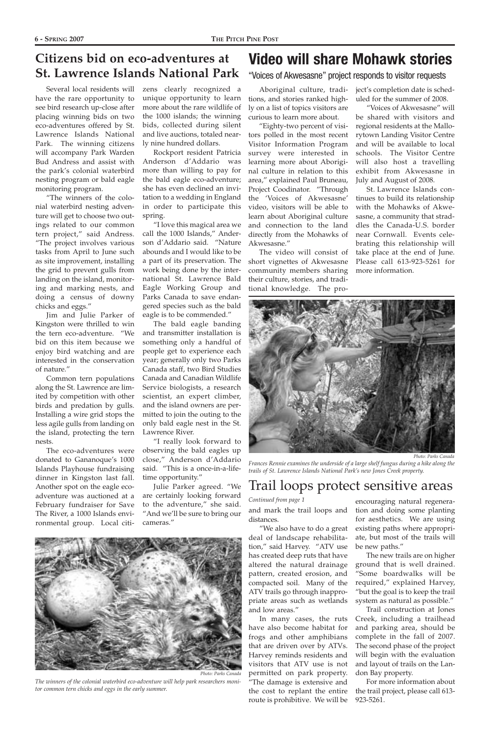### **Citizens bid on eco-adventures at St. Lawrence Islands National Park**

Several local residents will have the rare opportunity to see bird research up-close after placing winning bids on two eco-adventures offered by St. Lawrence Islands National Park. The winning citizens will accompany Park Warden Bud Andress and assist with the park's colonial waterbird nesting program or bald eagle monitoring program.

"The winners of the colonial waterbird nesting adventure will get to choose two outings related to our common tern project," said Andress. "The project involves various tasks from April to June such as site improvement, installing the grid to prevent gulls from landing on the island, monitoring and marking nests, and doing a census of downy chicks and eggs."

Jim and Julie Parker of Kingston were thrilled to win the tern eco-adventure. "We bid on this item because we enjoy bird watching and are interested in the conservation of nature."

Common tern populations along the St. Lawrence are limited by competition with other birds and predation by gulls. Installing a wire grid stops the less agile gulls from landing on the island, protecting the tern nests.

The eco-adventures were donated to Gananoque's 1000 Islands Playhouse fundraising dinner in Kingston last fall. Another spot on the eagle ecoadventure was auctioned at a February fundraiser for Save The River, a 1000 Islands environmental group. Local citi-

zens clearly recognized a unique opportunity to learn more about the rare wildlife of the 1000 islands; the winning bids, collected during silent and live auctions, totaled nearly nine hundred dollars.

Rockport resident Patricia Anderson d'Addario was more than willing to pay for the bald eagle eco-adventure; she has even declined an invitation to a wedding in England in order to participate this spring.

"I love this magical area we call the 1000 Islands," Anderson d'Addario said. "Nature abounds and I would like to be a part of its preservation. The work being done by the international St. Lawrence Bald Eagle Working Group and Parks Canada to save endangered species such as the bald eagle is to be commended."

The bald eagle banding and transmitter installation is something only a handful of people get to experience each year; generally only two Parks Canada staff, two Bird Studies Canada and Canadian Wildlife Service biologists, a research scientist, an expert climber, and the island owners are permitted to join the outing to the only bald eagle nest in the St. Lawrence River.

"I really look forward to observing the bald eagles up close," Anderson d'Addario said. "This is a once-in-a-lifetime opportunity."

Julie Parker agreed. "We are certainly looking forward to the adventure," she said. "And we'll be sure to bring our cameras."

*The winners of the colonial waterbird eco-adventure will help park researchers monitor common tern chicks and eggs in the early summer.*



*Photo: Parks Canada* 

and mark the trail loops and distances.

"We also have to do a great deal of landscape rehabilita-

tion," said Harvey. "ATV use has created deep ruts that have altered the natural drainage pattern, created erosion, and compacted soil. Many of the ATV trails go through inappropriate areas such as wetlands and low areas."

In many cases, the ruts have also become habitat for frogs and other amphibians that are driven over by ATVs. Harvey reminds residents and visitors that ATV use is not permitted on park property. "The damage is extensive and the cost to replant the entire route is prohibitive. We will be

encouraging natural regeneration and doing some planting for aesthetics. We are using existing paths where appropriate, but most of the trails will

be new paths."

The new trails are on higher ground that is well drained. "Some boardwalks will be required," explained Harvey, "but the goal is to keep the trail system as natural as possible." Trail construction at Jones Creek, including a trailhead and parking area, should be complete in the fall of 2007. The second phase of the project will begin with the evaluation and layout of trails on the Landon Bay property.

For more information about the trail project, please call 613- 923-5261.

## Trail loops protect sensitive areas



*Frances Rennie examines the underside of a large shelf fungus during a hike along the trails of St. Lawrence Islands National Park's new Jones Creek property.*

*Continued from page 1*



Aboriginal culture, traditions, and stories ranked highly on a list of topics visitors are curious to learn more about.

"Eighty-two percent of visitors polled in the most recent Visitor Information Program survey were interested in learning more about Aboriginal culture in relation to this area," explained Paul Bruneau, Project Coodinator. "Through the 'Voices of Akwesasne' video, visitors will be able to learn about Aboriginal culture and connection to the land directly from the Mohawks of Akwesasne."

The video will consist of short vignettes of Akwesasne community members sharing their culture, stories, and traditional knowledge. The project's completion date is scheduled for the summer of 2008.

"Voices of Akwesasne" will be shared with visitors and regional residents at the Mallorytown Landing Visitor Centre and will be available to local schools. The Visitor Centre will also host a travelling exhibit from Akwesasne in July and August of 2008.

St. Lawrence Islands continues to build its relationship with the Mohawks of Akwesasne, a community that straddles the Canada-U.S. border near Cornwall. Events celebrating this relationship will take place at the end of June. Please call 613-923-5261 for more information.

### "Voices of Akwesasne" project responds to visitor requests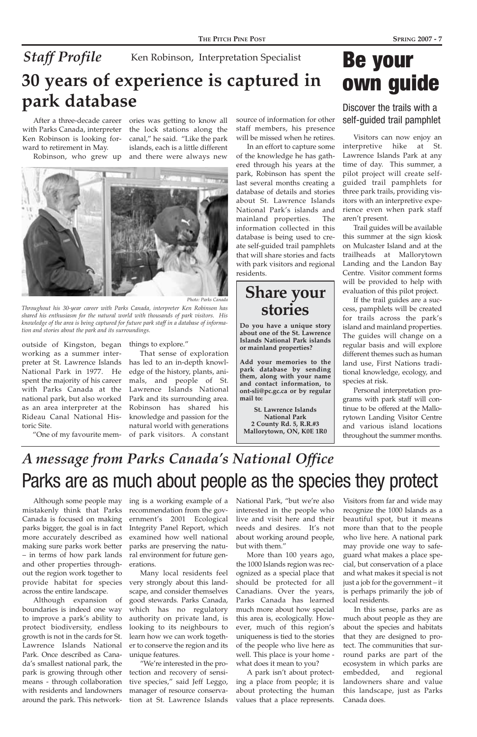## Be your own guide

Discover the trails with a self-guided trail pamphlet

Visitors can now enjoy an interpretive hike at St. Lawrence Islands Park at any time of day. This summer, a pilot project will create selfguided trail pamphlets for three park trails, providing visitors with an interpretive experience even when park staff aren't present.

Trail guides will be available this summer at the sign kiosk on Mulcaster Island and at the trailheads at Mallorytown Landing and the Landon Bay Centre. Visitor comment forms will be provided to help with evaluation of this pilot project.

If the trail guides are a success, pamphlets will be created for trails across the park's island and mainland properties. The guides will change on a regular basis and will explore different themes such as human land use, First Nations traditional knowledge, ecology, and species at risk.

Personal interpretation programs with park staff will continue to be offered at the Mallorytown Landing Visitor Centre and various island locations throughout the summer months.

Although some people may ing is a working example of a parks bigger, the goal is in fact Integrity Panel Report, which recommendation from the government's 2001 Ecological

mistakenly think that Parks Canada is focused on making more accurately described as examined how well national making sure parks work better – in terms of how park lands and other properties throughout the region work together to provide habitat for species across the entire landscape. Although expansion of boundaries is indeed one way to improve a park's ability to protect biodiversity, endless growth is not in the cards for St. Lawrence Islands National Park. Once described as Canada's smallest national park, the park is growing through other means - through collaboration with residents and landowners around the park. This network-

Visitors from far and wide may recognize the 1000 Islands as a beautiful spot, but it means more than that to the people who live here. A national park may provide one way to safeguard what makes a place special, but conservation of a place and what makes it special is not just a job for the government – it is perhaps primarily the job of local residents. In this sense, parks are as much about people as they are about the species and habitats that they are designed to protect. The communities that surround parks are part of the ecosystem in which parks are embedded, and regional landowners share and value this landscape, just as Parks Canada does.

## Parks are as much about people as the species they protect *A message from Parks Canada's National Office*

parks are preserving the natural environment for future generations.

## *Staff Profile* **30 years of experience is captured in park database** Ken Robinson, Interpretation Specialist

Many local residents feel very strongly about this landscape, and consider themselves good stewards. Parks Canada, which has no regulatory authority on private land, is looking to its neighbours to learn how we can work together to conserve the region and its unique features.

"We're interested in the protection and recovery of sensitive species," said Jeff Leggo, manager of resource conservation at St. Lawrence Islands National Park, "but we're also interested in the people who live and visit here and their needs and desires. It's not about working around people,

but with them."

More than 100 years ago, the 1000 Islands region was recognized as a special place that should be protected for all Canadians. Over the years, Parks Canada has learned much more about how special this area is, ecologically. However, much of this region's uniqueness is tied to the stories of the people who live here as well. This place is your home what does it mean to you?

A park isn't about protecting a place from people; it is about protecting the human values that a place represents.

After a three-decade career with Parks Canada, interpreter Ken Robinson is looking forward to retirement in May.

Robinson, who grew up



outside of Kingston, began things to explore." working as a summer interpreter at St. Lawrence Islands National Park in 1977. He spent the majority of his career with Parks Canada at the national park, but also worked as an area interpreter at the Rideau Canal National Historic Site.

"One of my favourite mem-

ories was getting to know all the lock stations along the canal," he said. "Like the park islands, each is a little different and there were always new

*Throughout his 30-year career with Parks Canada, interpreter Ken Robinson has shared his enthusiasm for the natural world with thousands of park visitors. His knowledge of the area is being captured for future park staff in a database of information and stories about the park and its surroundings.*

## **Share your stories**

**Do you have a unique story about one of the St. Lawrence Islands National Park islands or mainland properties?**

**Add your memories to the park database by sending them, along with your name and contact information, to ont-sli@pc.gc.ca or by regular mail to:**

**St. Lawrence Islands National Park 2 County Rd. 5, R.R.#3 Mallorytown, ON, K0E 1R0**

That sense of exploration has led to an in-depth knowledge of the history, plants, animals, and people of St. Lawrence Islands National Park and its surrounding area. Robinson has shared his knowledge and passion for the natural world with generations of park visitors. A constant source of information for other staff members, his presence will be missed when he retires.

In an effort to capture some of the knowledge he has gathered through his years at the park, Robinson has spent the last several months creating a database of details and stories about St. Lawrence Islands National Park's islands and mainland properties. The information collected in this database is being used to create self-guided trail pamphlets that will share stories and facts with park visitors and regional residents.

*Photo: Parks Canada*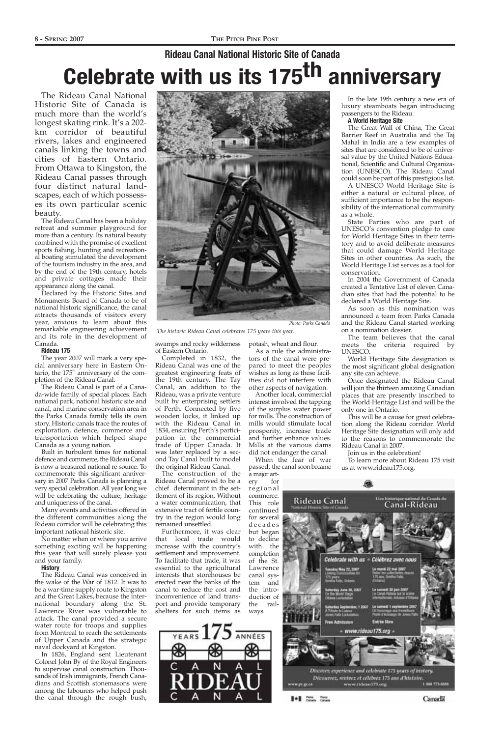

*The historic Rideau Canal celebrates 175 years this year.*

## **Rideau Canal National Historic Site of Canada Celebrate with us its 175th anniversary**

The Rideau Canal National Historic Site of Canada is much more than the world's longest skating rink. It's a 202 km corridor of beautiful rivers, lakes and engineered canals linking the towns and cities of Eastern Ontario. From Ottawa to Kingston, the Rideau Canal passes through four distinct natural landscapes, each of which possesses its own particular scenic beauty.

The Rideau Canal has been a holiday retreat and summer playground for more than a century. Its natural beauty combined with the promise of excellent sports fishing, hunting and recreational boating stimulated the development of the tourism industry in the area, and by the end of the 19th century, hotels and private cottages made their appearance along the canal.

Declared by the Historic Sites and Monuments Board of Canada to be of national historic significance, the canal attracts thousands of visitors every year, anxious to learn about this remarkable engineering achievement and its role in the development of Canada.

#### **Rideau 175**

The year 2007 will mark a very special anniversary here in Eastern Ontario, the  $175<sup>th</sup>$  anniversary of the completion of the Rideau Canal.

The Rideau Canal is part of a Canada-wide family of special places. Each national park, national historic site and canal, and marine conservation area in the Parks Canada family tells its own story. Historic canals trace the routes of exploration, defence, commerce and transportation which helped shape Canada as a young nation.

Built in turbulent times for national defence and commerce, the Rideau Canal is now a treasured national re-source. To commemorate this significant anniversary in 2007 Parks Canada is planning a very special celebration. All year long we will be celebrating the culture, heritage and uniqueness of the canal.

Many events and activities offered in the different communities along the Rideau corridor will be celebrating this important national historic site.

No matter when or where you arrive

something exciting will be happening this year that will surely please you and your family.

#### **History**

The Rideau Canal was conceived in the wake of the War of 1812. It was to be a war-time supply route to Kingston and the Great Lakes, because the international boundary along the St. Lawrence River was vulnerable to attack. The canal provided a secure water route for troops and supplies from Montreal to reach the settlements of Upper Canada and the strategic naval dockyard at Kingston.

In 1826, England sent Lieutenant Colonel John By of the Royal Engineers to supervise canal construction. Thousands of Irish immigrants, French Canadians and Scottish stonemasons were among the labourers who helped push the canal through the rough bush,

*Photo: Parks Canada* 

swamps and rocky wilderness of Eastern Ontario.

Completed in 1832, the Rideau Canal was one of the greatest engineering feats of the 19th century. The Tay Canal, an addition to the Rideau, was a private venture built by enterprising settlers of Perth. Connected by five wooden locks, it linked up with the Rideau Canal in 1834, ensuring Perth's participation in the commercial trade of Upper Canada. It was later replaced by a second Tay Canal built to model the original Rideau Canal.

The construction of the Rideau Canal proved to be a chief determinant in the settlement of its region. Without a water communication, that extensive tract of fertile country in the region would long remained unsettled.

Furthermore, it was clear that local trade would potash, wheat and flour.

As a rule the administrators of the canal were prepared to meet the peoples wishes as long as these facilities did not interfere with other aspects of navigation.

increase with the country's settlement and improvement. To facilitate that trade, it was essential to the agricultural interests that storehouses be erected near the banks of the canal to reduce the cost and inconvenience of land transport and provide temporary shelters for such items as ways.



Another local, commercial interest involved the tapping of the surplus water power for mills. The construction of mills would stimulate local prosperity, increase trade and further enhance values. Mills at the various dams did not endanger the canal.

When the fear of war passed, the canal soon became a major art-

ery for regional commerce. This role continued for several decades



In the late 19th century a new era of luxury steamboats began introducing passengers to the Rideau.

#### **A World Heritage Site**

The Great Wall of China, The Great Barrier Reef in Australia and the Taj Mahal in India are a few examples of sites that are considered to be of universal value by the United Nations Educational, Scientific and Cultural Organization (UNESCO). The Rideau Canal could soon be part of this prestigious list.

A UNESCO World Heritage Site is either a natural or cultural place, of sufficient importance to be the responsibility of the international community as a whole.

State Parties who are part of UNESCO's convention pledge to care for World Heritage Sites in their territory and to avoid deliberate measures that could damage World Heritage Sites in other countries. As such, the World Heritage List serves as a tool for conservation.

In 2004 the Government of Canada created a Tentative List of eleven Canadian sites that had the potential to be declared a World Heritage Site.

As soon as this nomination was announced a team from Parks Canada and the Rideau Canal started working on a nomination dossier.

The team believes that the canal meets the criteria required by UNESCO.

World Heritage Site designation is the most significant global designation any site can achieve.

Once designated the Rideau Canal will join the thirteen amazing Canadian places that are presently inscribed to the World Heritage List and will be the only one in Ontario.

This will be a cause for great celebration along the Rideau corridor. World Heritage Site designation will only add to the reasons to commemorate the Rideau Canal in 2007.

Join us in the celebration!

To learn more about Rideau 175 visit us at www.rideau175.org.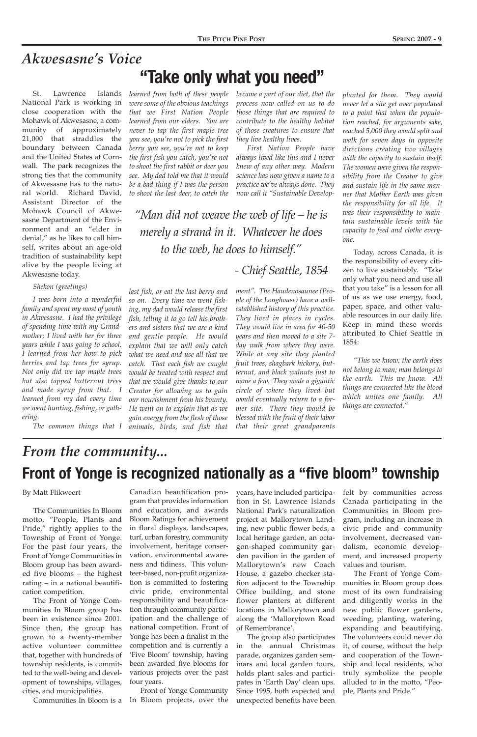#### By Matt Flikweert

The Communities In Bloom motto, "People, Plants and Pride," rightly applies to the Township of Front of Yonge. For the past four years, the Front of Yonge Communities in Bloom group has been awarded five blooms – the highest rating – in a national beautification competition. The Front of Yonge Communities In Bloom group has been in existence since 2001. Since then, the group has grown to a twenty-member active volunteer committee that, together with hundreds of township residents, is committed to the well-being and development of townships, villages, cities, and municipalities.

felt by communities across Canada participating in the Communities in Bloom program, including an increase in civic pride and community involvement, decreased van-

dalism, economic development, and increased property values and tourism.

The Front of Yonge Communities in Bloom group does most of its own fundraising and diligently works in the new public flower gardens, weeding, planting, watering, expanding and beautifying. The volunteers could never do it, of course, without the help and cooperation of the Township and local residents, who truly symbolize the people alluded to in the motto, "People, Plants and Pride."

years, have included participation in St. Lawrence Islands National Park's naturalization project at Mallorytown Landing, new public flower beds, a local heritage garden, an octagon-shaped community garden pavilion in the garden of Mallorytown's new Coach House, a gazebo checker station adjacent to the Township Office building, and stone flower planters at different locations in Mallorytown and along the 'Mallorytown Road of Remembrance'. The group also participates in the annual Christmas parade, organizes garden seminars and local garden tours, holds plant sales and participates in 'Earth Day' clean ups. Since 1995, both expected and unexpected benefits have been

Communities In Bloom is a In Bloom projects, over the Front of Yonge Community

Canadian beautification program that provides information and education, and awards Bloom Ratings for achievement in floral displays, landscapes, turf, urban forestry, community involvement, heritage conservation, environmental awareness and tidiness. This volunteer-based, non-profit organization is committed to fostering civic pride, environmental responsibility and beautification through community participation and the challenge of national competition. Front of Yonge has been a finalist in the competition and is currently a 'Five Bloom' township, having been awarded five blooms for various projects over the past four years.

## **Front of Yonge is recognized nationally as a "five bloom" township** *From the community...*

St. Lawrence Islands National Park is working in close cooperation with the Mohawk of Akwesasne, a community of approximately 21,000 that straddles the boundary between Canada and the United States at Cornwall. The park recognizes the strong ties that the community of Akwesasne has to the natural world. Richard David, Assistant Director of the Mohawk Council of Akwesasne Department of the Environment and an "elder in denial," as he likes to call himself, writes about an age-old tradition of sustainability kept alive by the people living at Akwesasne today.

*Shekon (greetings)*

*I was born into a wonderful family and spent my most of youth in Akwesasne. I had the privilege of spending time with my Grandmother; I lived with her for three years while I was going to school. I learned from her how to pick berries and tap trees for syrup. Not only did we tap maple trees but also tapped butternut trees and made syrup from that. I learned from my dad every time we went hunting, fishing, or gathering.*

*The common things that I*

*became a part of our diet, that the process now called on us to do those things that are required to contribute to the healthy habitat of those creatures to ensure that they live healthy lives.*

## **"Take only what you need"** *Akwesasne's Voice*

*First Nation People have always lived like this and I never knew of any other way. Modern science has now given a name to a practice we've always done. They now call it "Sustainable Develop-*

*learned from both of these people were some of the obvious teachings that we First Nation People learned from our elders. You are never to tap the first maple tree you see, you're not to pick the first berry you see, you're not to keep the first fish you catch, you're not to shoot the first rabbit or deer you see. My dad told me that it would be a bad thing if I was the person to shoot the last deer, to catch the*

*last fish, or eat the last berry and so on. Every time we went fishing, my dad would release the first fish, telling it to go tell his brothers and sisters that we are a kind and gentle people. He would explain that we will only catch what we need and use all that we catch. That each fish we caught would be treated with respect and that we would give thanks to our Creator for allowing us to gain our nourishment from his bounty. He went on to explain that as we gain energy from the flesh of those animals, birds, and fish that*

*"Man did not weave the web of life – he is merely a strand in it. Whatever he does to the web, he does to himself."*

*- Chief Seattle, 1854*

*planted for them. They would never let a site get over populated to a point that when the population reached, for arguments sake, reached 5,000 they would split and walk for seven days in opposite directions creating two villages with the capacity to sustain itself. The women were given the responsibility from the Creator to give and sustain life in the same manner that Mother Earth was given the responsibility for all life. It was their responsibility to maintain sustainable levels with the capacity to feed and clothe everyone.*

Today, across Canada, it is the responsibility of every citizen to live sustainably. "Take only what you need and use all that you take" is a lesson for all of us as we use energy, food, paper, space, and other valuable resources in our daily life. Keep in mind these words attributed to Chief Seattle in 1854:

*"This we know; the earth does not belong to man; man belongs to the earth. This we know. All things are connected like the blood which unites one family. All things are connected."*

*ment". The Haudenosaunee (People of the Longhouse) have a wellestablished history of this practice. They lived in places in cycles. They would live in area for 40-50 years and then moved to a site 7 day walk from where they were. While at any site they planted fruit trees, shagbark hickory, butternut, and black walnuts just to name a few. They made a gigantic circle of where they lived but would eventually return to a former site. There they would be blessed with the fruit of their labor that their great grandparents*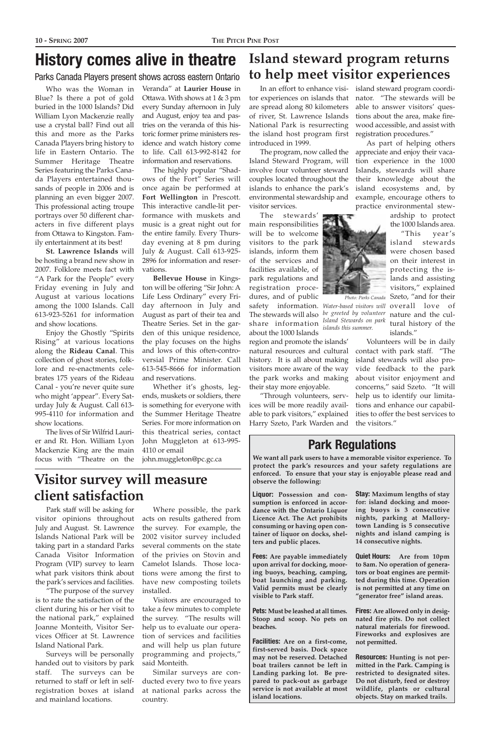## **Island steward program returns to help meet visitor experiences**

In an effort to enhance visitor experiences on islands that are spread along 80 kilometers of river, St. Lawrence Islands National Park is resurrecting the island host program first introduced in 1999.

The program, now called the Island Steward Program, will involve four volunteer steward couples located throughout the islands to enhance the park's environmental stewardship and visitor services.

The stewards' main responsibilities will be to welcome visitors to the park islands, inform them of the services and facilities available, of park regulations and registration procedures, and of public safety information. *Water-based visitors will* <code>overall love of</code> The stewards will also *be greeted by volunteer* nature and the culshare information about the 1000 Islands

region and promote the islands' natural resources and cultural history. It is all about making visitors more aware of the way the park works and making their stay more enjoyable.

"Through volunteers, services will be more readily available to park visitors," explained Harry Szeto, Park Warden and



As part of helping others appreciate and enjoy their vacation experience in the 1000 Islands, stewards will share their knowledge about the island ecosystems and, by example, encourage others to practice environmental stew-

> ardship to protect the 1000 Islands area.

> > "This year's island stewards were chosen based on their interest in protecting the islands and assisting visitors," explained Szeto, "and for their tural history of the islands."

Volunteers will be in daily contact with park staff. "The island stewards will also provide feedback to the park about visitor enjoyment and concerns," said Szeto. "It will help us to identify our limitations and enhance our capabilities to offer the best services to the visitors."

## **Visitor survey will measure client satisfaction**

Park staff will be asking for visitor opinions throughout July and August. St. Lawrence Islands National Park will be

taking part in a standard Parks Canada Visitor Information Program (VIP) survey to learn what park visitors think about the park's services and facilities.

"The purpose of the survey is to rate the satisfaction of the client during his or her visit to the national park," explained Joanne Monteith, Visitor Services Officer at St. Lawrence Island National Park.

Surveys will be personally handed out to visitors by park staff. The surveys can be returned to staff or left in selfregistration boxes at island and mainland locations.

Where possible, the park acts on results gathered from the survey. For example, the 2002 visitor survey included several comments on the state of the privies on Stovin and Camelot Islands. Those locations were among the first to have new composting toilets installed. Visitors are encouraged to take a few minutes to complete the survey. "The results will help us to evaluate our operation of services and facilities and will help us plan future programming and projects," said Monteith.

Similar surveys are conducted every two to five years at national parks across the country.



**Liquor: Possession and consumption is enforced in accordance with the Ontario Liquor Licence Act. The Act prohibits consuming or having open container of liquor on docks, shel-**

**ters and public places.**

**Fees: Are payable immediately upon arrival for docking, mooring buoys, beaching, camping, boat launching and parking. Valid permits must be clearly visible to Park staff.**

**Pets: Must be leashed at all times. Stoop and scoop. No pets on beaches.**

**Facilities: Are on a first-come, first-served basis. Dock space may not be reserved. Detached boat trailers cannot be left in Landing parking lot. Be prepared to pack-out as garbage service is not available at most island locations.**

**Stay: Maximum lengths of stay for: island docking and mooring buoys is 3 consecutive nights, parking at Mallorytown Landing is 5 consecutive nights and island camping is 14 consecutive nights.**

**Quiet Hours: Are from 10pm to 8am. No operation of generators or boat engines are permitted during this time. Operation is not permitted at any time on "generator free" island areas.**

**Fires: Are allowed only in designated fire pits. Do not collect natural materials for firewood. Fireworks and explosives are not permitted.**

**Resources: Hunting is not permitted in the Park. Camping is restricted to designated sites. Do not disturb, feed or destroy wildlife, plants or cultural objects. Stay on marked trails.**

### **Park Regulations**

**We want all park users to have a memorable visitor experience. To protect the park's resources and your safety regulations are enforced. To ensure that your stay is enjoyable please read and observe the following:**

Who was the Woman in Blue? Is there a pot of gold buried in the 1000 Islands? Did William Lyon Mackenzie really use a crystal ball? Find out all this and more as the Parks Canada Players bring history to life in Eastern Ontario. The Summer Heritage Theatre Series featuring the Parks Canada Players entertained thousands of people in 2006 and is planning an even bigger 2007. This professional acting troupe portrays over 50 different characters in five different plays from Ottawa to Kingston. Family entertainment at its best!

**St. Lawrence Islands** will be hosting a brand new show in 2007. Folklore meets fact with "A Park for the People" every Friday evening in July and August at various locations among the 1000 Islands. Call 613-923-5261 for information and show locations.

Enjoy the Ghostly "Spirits Rising" at various locations along the **Rideau Canal**. This collection of ghost stories, folklore and re-enactments celebrates 175 years of the Rideau Canal - you're never quite sure who might 'appear". Every Saturday July & August. Call 613- 995-4110 for information and show locations.

The lives of Sir Wilfrid Laurier and Rt. Hon. William Lyon Mackenzie King are the main focus with "Theatre on the

Veranda" at **Laurier House** in Ottawa. With shows at 1 & 3 pm every Sunday afternoon in July and August, enjoy tea and pastries on the veranda of this historic former prime ministers residence and watch history come to life. Call 613-992-8142 for information and reservations.

The highly popular "Shadows of the Fort" Series will once again be performed at **Fort Wellington** in Prescott. This interactive candle-lit performance with muskets and music is a great night out for the entire family. Every Thursday evening at 8 pm during July & August. Call 613-925- 2896 for information and reservations.

**Bellevue House** in Kingston will be offering "Sir John: A Life Less Ordinary" every Friday afternoon in July and August as part of their tea and Theatre Series. Set in the garden of this unique residence, the play focuses on the highs and lows of this often-controversial Prime Minister. Call 613-545-8666 for information and reservations.

Whether it's ghosts, legends, muskets or soldiers, there is something for everyone with the Summer Heritage Theatre Series. For more information on this theatrical series, contact John Muggleton at 613-995- 4110 or email john.muggleton@pc.gc.ca

## **History comes alive in theatre**

*Island Stewards on park islands this summer.*

Parks Canada Players present shows across eastern Ontario